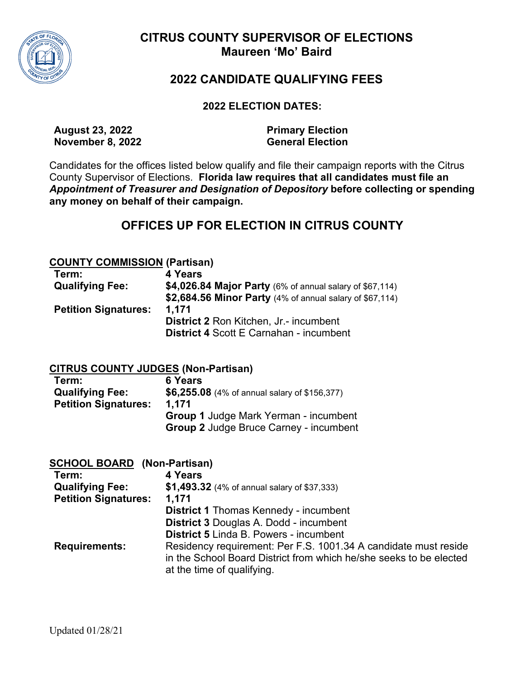

# **CITRUS COUNTY SUPERVISOR OF ELECTIONS Maureen 'Mo' Baird**

# **2022 CANDIDATE QUALIFYING FEES**

### **2022 ELECTION DATES:**

**August 23, 2022 Primary Election November 8, 2022** 

Candidates for the offices listed below qualify and file their campaign reports with the Citrus County Supervisor of Elections. **Florida law requires that all candidates must file an**  *Appointment of Treasurer and Designation of Depository* **before collecting or spending any money on behalf of their campaign.**

# **OFFICES UP FOR ELECTION IN CITRUS COUNTY**

### **COUNTY COMMISSION (Partisan)**

| Term:                       | 4 Years                                                  |
|-----------------------------|----------------------------------------------------------|
| <b>Qualifying Fee:</b>      | \$4,026.84 Major Party (6% of annual salary of \$67,114) |
|                             | \$2,684.56 Minor Party (4% of annual salary of \$67,114) |
| <b>Petition Signatures:</b> | 1.171                                                    |
|                             | <b>District 2 Ron Kitchen, Jr.- incumbent</b>            |
|                             | <b>District 4 Scott E Carnahan - incumbent</b>           |

### **CITRUS COUNTY JUDGES (Non-Partisan)**

| Term:                       | 6 Years                                       |
|-----------------------------|-----------------------------------------------|
| <b>Qualifying Fee:</b>      | \$6,255.08 (4% of annual salary of \$156,377) |
| <b>Petition Signatures:</b> | 1.171                                         |
|                             | <b>Group 1 Judge Mark Yerman - incumbent</b>  |
|                             | <b>Group 2 Judge Bruce Carney - incumbent</b> |

|  | <b>SCHOOL BOARD</b> (Non-Partisan) |
|--|------------------------------------|
|  |                                    |

| Term:                       | 4 Years                                                            |
|-----------------------------|--------------------------------------------------------------------|
| <b>Qualifying Fee:</b>      | \$1,493.32 (4% of annual salary of \$37,333)                       |
| <b>Petition Signatures:</b> | 1,171                                                              |
|                             | <b>District 1 Thomas Kennedy - incumbent</b>                       |
|                             | <b>District 3 Douglas A. Dodd - incumbent</b>                      |
|                             | <b>District 5 Linda B. Powers - incumbent</b>                      |
| <b>Requirements:</b>        | Residency requirement: Per F.S. 1001.34 A candidate must reside    |
|                             | in the School Board District from which he/she seeks to be elected |
|                             | at the time of qualifying.                                         |